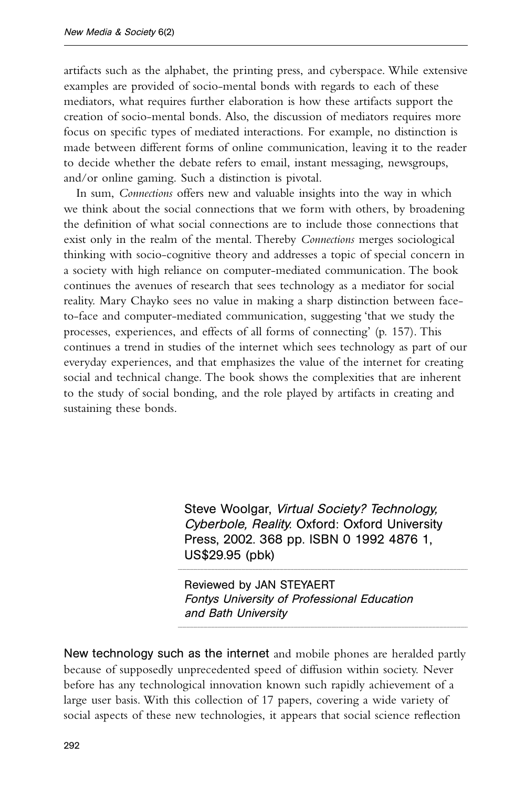Steve Woolgar, Virtual Society? Technology, Cyberbole, Reality. Oxford: Oxford University Press, 2002. 368 pp. ISBN 0 1992 4876 1, US\$29.95 (pbk)

............................................................................................................................................................................................................................................

............................................................................................................................................................................................................................................

Reviewed by JAN STEYAERT Fontys University of Professional Education and Bath University

New technology such as the internet and mobile phones are heralded partly because of supposedly unprecedented speed of diffusion within society. Never before has any technological innovation known such rapidly achievement of a large user basis. With this collection of 17 papers, covering a wide variety of social aspects of these new technologies, it appears that social science reflection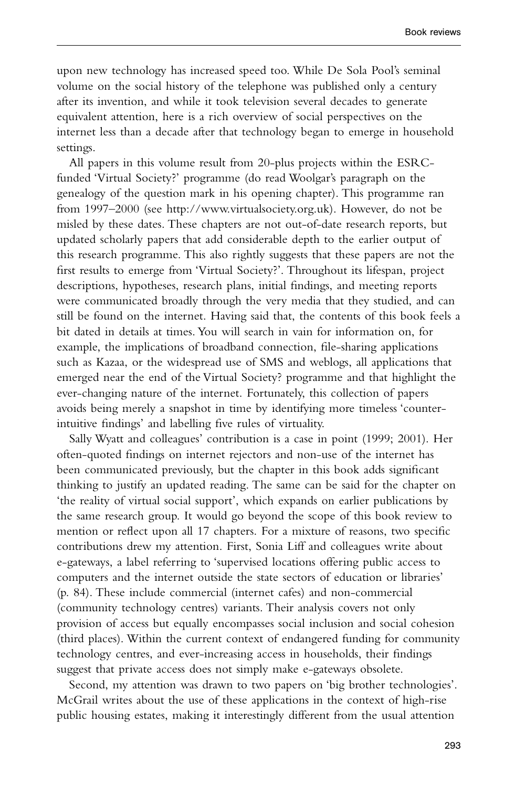upon new technology has increased speed too. While De Sola Pool's seminal volume on the social history of the telephone was published only a century after its invention, and while it took television several decades to generate equivalent attention, here is a rich overview of social perspectives on the internet less than a decade after that technology began to emerge in household settings.

All papers in this volume result from 20-plus projects within the ESRCfunded 'Virtual Society?' programme (do read Woolgar's paragraph on the genealogy of the question mark in his opening chapter). This programme ran from 1997–2000 (see http://www.virtualsociety.org.uk). However, do not be misled by these dates. These chapters are not out-of-date research reports, but updated scholarly papers that add considerable depth to the earlier output of this research programme. This also rightly suggests that these papers are not the first results to emerge from 'Virtual Society?'. Throughout its lifespan, project descriptions, hypotheses, research plans, initial findings, and meeting reports were communicated broadly through the very media that they studied, and can still be found on the internet. Having said that, the contents of this book feels a bit dated in details at times. You will search in vain for information on, for example, the implications of broadband connection, file-sharing applications such as Kazaa, or the widespread use of SMS and weblogs, all applications that emerged near the end of the Virtual Society? programme and that highlight the ever-changing nature of the internet. Fortunately, this collection of papers avoids being merely a snapshot in time by identifying more timeless 'counterintuitive findings' and labelling five rules of virtuality.

Sally Wyatt and colleagues' contribution is a case in point (1999; 2001). Her often-quoted findings on internet rejectors and non-use of the internet has been communicated previously, but the chapter in this book adds significant thinking to justify an updated reading. The same can be said for the chapter on 'the reality of virtual social support', which expands on earlier publications by the same research group. It would go beyond the scope of this book review to mention or reflect upon all 17 chapters. For a mixture of reasons, two specific contributions drew my attention. First, Sonia Liff and colleagues write about e-gateways, a label referring to 'supervised locations offering public access to computers and the internet outside the state sectors of education or libraries' (p. 84). These include commercial (internet cafes) and non-commercial (community technology centres) variants. Their analysis covers not only provision of access but equally encompasses social inclusion and social cohesion (third places). Within the current context of endangered funding for community technology centres, and ever-increasing access in households, their findings suggest that private access does not simply make e-gateways obsolete.

Second, my attention was drawn to two papers on 'big brother technologies'. McGrail writes about the use of these applications in the context of high-rise public housing estates, making it interestingly different from the usual attention